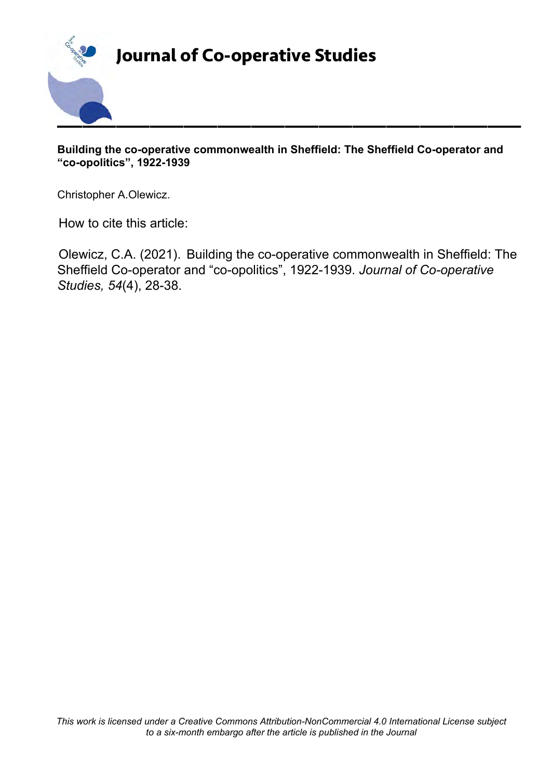

# **Journal of Co-operative Studies**

**Building the co-operative commonwealth in Sheffield: The Sheffield Co-operator and "co-opolitics", 1922-1939**

Christopher A.Olewicz.

How to cite this article:

Olewicz, C.A. (2021). Building the co-operative commonwealth in Sheffield: The Sheffield Co-operator and "co-opolitics", 1922-1939. *Journal of Co-operative Studies, 54*(4), 28-38.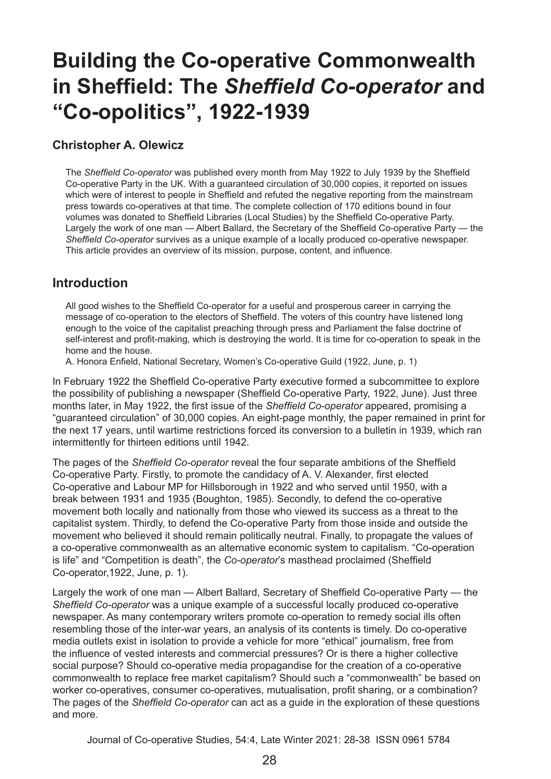# **Building the Co-operative Commonwealth in Sheffield: The** *Sheffield Co-operator* **and "Co-opolitics", 1922-1939**

#### **Christopher A. Olewicz**

The *Sheffield Co-operator* was published every month from May 1922 to July 1939 by the Sheffield Co-operative Party in the UK. With a guaranteed circulation of 30,000 copies, it reported on issues which were of interest to people in Sheffield and refuted the negative reporting from the mainstream press towards co-operatives at that time. The complete collection of 170 editions bound in four volumes was donated to Sheffield Libraries (Local Studies) by the Sheffield Co-operative Party. Largely the work of one man — Albert Ballard, the Secretary of the Sheffield Co-operative Party — the *Sheffield Co-operator* survives as a unique example of a locally produced co-operative newspaper. This article provides an overview of its mission, purpose, content, and influence.

#### **Introduction**

All good wishes to the Sheffield Co-operator for a useful and prosperous career in carrying the message of co-operation to the electors of Sheffield. The voters of this country have listened long enough to the voice of the capitalist preaching through press and Parliament the false doctrine of self-interest and profit-making, which is destroying the world. It is time for co-operation to speak in the home and the house.

A. Honora Enfield, National Secretary, Women's Co-operative Guild (1922, June, p. 1)

In February 1922 the Sheffield Co-operative Party executive formed a subcommittee to explore the possibility of publishing a newspaper (Sheffield Co-operative Party, 1922, June). Just three months later, in May 1922, the first issue of the *Sheffield Co-operator* appeared, promising a "guaranteed circulation" of 30,000 copies. An eight-page monthly, the paper remained in print for the next 17 years, until wartime restrictions forced its conversion to a bulletin in 1939, which ran intermittently for thirteen editions until 1942.

The pages of the *Sheffield Co-operator* reveal the four separate ambitions of the Sheffield Co‑operative Party. Firstly, to promote the candidacy of A. V. Alexander, first elected Co-operative and Labour MP for Hillsborough in 1922 and who served until 1950, with a break between 1931 and 1935 (Boughton, 1985). Secondly, to defend the co-operative movement both locally and nationally from those who viewed its success as a threat to the capitalist system. Thirdly, to defend the Co-operative Party from those inside and outside the movement who believed it should remain politically neutral. Finally, to propagate the values of a co-operative commonwealth as an alternative economic system to capitalism. "Co-operation is life" and "Competition is death", the *Co-operator*'s masthead proclaimed (Sheffield Co-operator,1922, June, p. 1).

Largely the work of one man — Albert Ballard, Secretary of Sheffield Co-operative Party — the *Sheffield Co-operator* was a unique example of a successful locally produced co-operative newspaper. As many contemporary writers promote co-operation to remedy social ills often resembling those of the inter-war years, an analysis of its contents is timely. Do co-operative media outlets exist in isolation to provide a vehicle for more "ethical" journalism, free from the influence of vested interests and commercial pressures? Or is there a higher collective social purpose? Should co-operative media propagandise for the creation of a co-operative commonwealth to replace free market capitalism? Should such a "commonwealth" be based on worker co-operatives, consumer co-operatives, mutualisation, profit sharing, or a combination? The pages of the *Sheffield Co-operator* can act as a guide in the exploration of these questions and more.

Journal of Co-operative Studies, 54:4, Late Winter 2021: 28-38 ISSN 0961 5784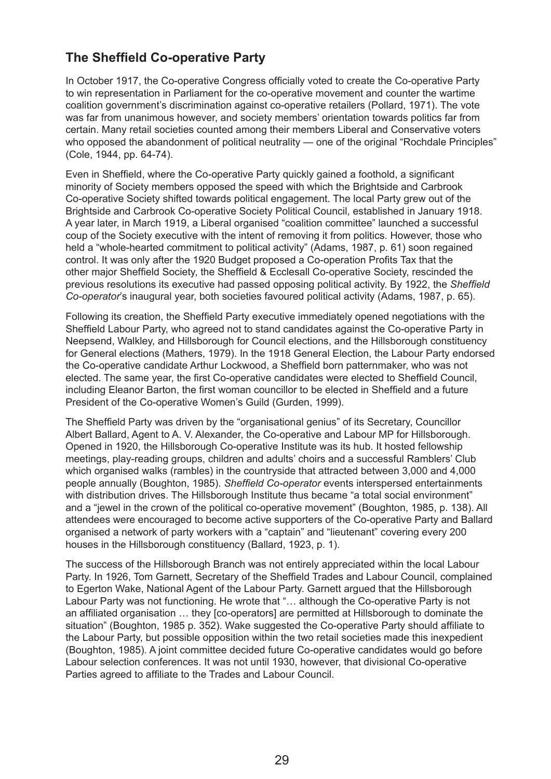# **The Sheffield Co-operative Party**

In October 1917, the Co-operative Congress officially voted to create the Co-operative Party to win representation in Parliament for the co-operative movement and counter the wartime coalition government's discrimination against co-operative retailers (Pollard, 1971). The vote was far from unanimous however, and society members' orientation towards politics far from certain. Many retail societies counted among their members Liberal and Conservative voters who opposed the abandonment of political neutrality — one of the original "Rochdale Principles" (Cole, 1944, pp. 64-74).

Even in Sheffield, where the Co-operative Party quickly gained a foothold, a significant minority of Society members opposed the speed with which the Brightside and Carbrook Co-operative Society shifted towards political engagement. The local Party grew out of the Brightside and Carbrook Co-operative Society Political Council, established in January 1918. A year later, in March 1919, a Liberal organised "coalition committee" launched a successful coup of the Society executive with the intent of removing it from politics. However, those who held a "whole-hearted commitment to political activity" (Adams, 1987, p. 61) soon regained control. It was only after the 1920 Budget proposed a Co-operation Profits Tax that the other major Sheffield Society, the Sheffield & Ecclesall Co-operative Society, rescinded the previous resolutions its executive had passed opposing political activity. By 1922, the *Sheffield Co-operator*'s inaugural year, both societies favoured political activity (Adams, 1987, p. 65).

Following its creation, the Sheffield Party executive immediately opened negotiations with the Sheffield Labour Party, who agreed not to stand candidates against the Co-operative Party in Neepsend, Walkley, and Hillsborough for Council elections, and the Hillsborough constituency for General elections (Mathers, 1979). In the 1918 General Election, the Labour Party endorsed the Co-operative candidate Arthur Lockwood, a Sheffield born patternmaker, who was not elected. The same year, the first Co-operative candidates were elected to Sheffield Council, including Eleanor Barton, the first woman councillor to be elected in Sheffield and a future President of the Co-operative Women's Guild (Gurden, 1999).

The Sheffield Party was driven by the "organisational genius" of its Secretary, Councillor Albert Ballard, Agent to A. V. Alexander, the Co-operative and Labour MP for Hillsborough. Opened in 1920, the Hillsborough Co-operative Institute was its hub. It hosted fellowship meetings, play-reading groups, children and adults' choirs and a successful Ramblers' Club which organised walks (rambles) in the countryside that attracted between 3,000 and 4,000 people annually (Boughton, 1985). *Sheffield Co-operator* events interspersed entertainments with distribution drives. The Hillsborough Institute thus became "a total social environment" and a "jewel in the crown of the political co-operative movement" (Boughton, 1985, p. 138). All attendees were encouraged to become active supporters of the Co-operative Party and Ballard organised a network of party workers with a "captain" and "lieutenant" covering every 200 houses in the Hillsborough constituency (Ballard, 1923, p. 1).

The success of the Hillsborough Branch was not entirely appreciated within the local Labour Party. In 1926, Tom Garnett, Secretary of the Sheffield Trades and Labour Council, complained to Egerton Wake, National Agent of the Labour Party. Garnett argued that the Hillsborough Labour Party was not functioning. He wrote that "… although the Co-operative Party is not an affiliated organisation … they [co-operators] are permitted at Hillsborough to dominate the situation" (Boughton, 1985 p. 352). Wake suggested the Co-operative Party should affiliate to the Labour Party, but possible opposition within the two retail societies made this inexpedient (Boughton, 1985). A joint committee decided future Co-operative candidates would go before Labour selection conferences. It was not until 1930, however, that divisional Co-operative Parties agreed to affiliate to the Trades and Labour Council.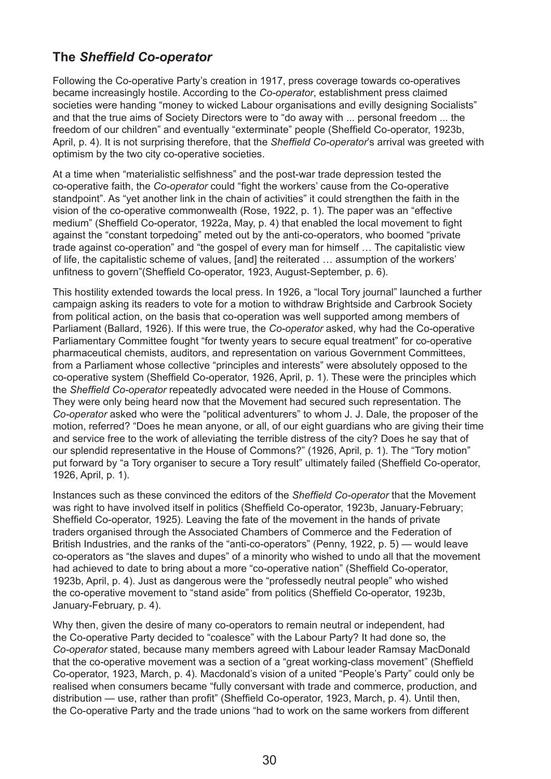# **The** *Sheffield Co-operator*

Following the Co-operative Party's creation in 1917, press coverage towards co-operatives became increasingly hostile. According to the *Co-operator*, establishment press claimed societies were handing "money to wicked Labour organisations and evilly designing Socialists" and that the true aims of Society Directors were to "do away with ... personal freedom ... the freedom of our children" and eventually "exterminate" people (Sheffield Co-operator, 1923b, April, p. 4). It is not surprising therefore, that the *Sheffield Co-operator*'s arrival was greeted with optimism by the two city co-operative societies.

At a time when "materialistic selfishness" and the post-war trade depression tested the co-operative faith, the *Co-operator* could "fight the workers' cause from the Co-operative standpoint". As "yet another link in the chain of activities" it could strengthen the faith in the vision of the co-operative commonwealth (Rose, 1922, p. 1). The paper was an "effective medium" (Sheffield Co-operator, 1922a, May, p. 4) that enabled the local movement to fight against the "constant torpedoing" meted out by the anti-co-operators, who boomed "private trade against co-operation" and "the gospel of every man for himself … The capitalistic view of life, the capitalistic scheme of values, [and] the reiterated … assumption of the workers' unfitness to govern"(Sheffield Co-operator, 1923, August-September, p. 6).

This hostility extended towards the local press. In 1926, a "local Tory journal" launched a further campaign asking its readers to vote for a motion to withdraw Brightside and Carbrook Society from political action, on the basis that co-operation was well supported among members of Parliament (Ballard, 1926). If this were true, the *Co-operator* asked, why had the Co-operative Parliamentary Committee fought "for twenty years to secure equal treatment" for co-operative pharmaceutical chemists, auditors, and representation on various Government Committees, from a Parliament whose collective "principles and interests" were absolutely opposed to the co-operative system (Sheffield Co-operator, 1926, April, p. 1). These were the principles which the *Sheffield Co-operator* repeatedly advocated were needed in the House of Commons. They were only being heard now that the Movement had secured such representation. The *Co-operator* asked who were the "political adventurers" to whom J. J. Dale, the proposer of the motion, referred? "Does he mean anyone, or all, of our eight guardians who are giving their time and service free to the work of alleviating the terrible distress of the city? Does he say that of our splendid representative in the House of Commons?" (1926, April, p. 1). The "Tory motion" put forward by "a Tory organiser to secure a Tory result" ultimately failed (Sheffield Co-operator, 1926, April, p. 1).

Instances such as these convinced the editors of the *Sheffield Co-operator* that the Movement was right to have involved itself in politics (Sheffield Co-operator, 1923b, January-February; Sheffield Co-operator, 1925). Leaving the fate of the movement in the hands of private traders organised through the Associated Chambers of Commerce and the Federation of British Industries, and the ranks of the "anti-co-operators" (Penny, 1922, p. 5) — would leave co-operators as "the slaves and dupes" of a minority who wished to undo all that the movement had achieved to date to bring about a more "co-operative nation" (Sheffield Co-operator, 1923b, April, p. 4). Just as dangerous were the "professedly neutral people" who wished the co-operative movement to "stand aside" from politics (Sheffield Co-operator, 1923b, January-February, p. 4).

Why then, given the desire of many co-operators to remain neutral or independent, had the Co-operative Party decided to "coalesce" with the Labour Party? It had done so, the *Co-operator* stated, because many members agreed with Labour leader Ramsay MacDonald that the co-operative movement was a section of a "great working-class movement" (Sheffield Co-operator, 1923, March, p. 4). Macdonald's vision of a united "People's Party" could only be realised when consumers became "fully conversant with trade and commerce, production, and distribution — use, rather than profit" (Sheffield Co-operator, 1923, March, p. 4). Until then, the Co-operative Party and the trade unions "had to work on the same workers from different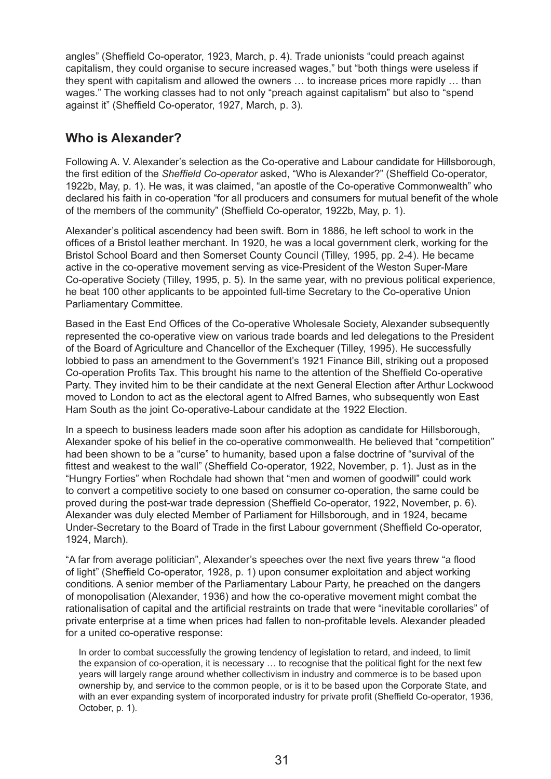angles" (Sheffield Co-operator, 1923, March, p. 4). Trade unionists "could preach against capitalism, they could organise to secure increased wages," but "both things were useless if they spent with capitalism and allowed the owners … to increase prices more rapidly … than wages." The working classes had to not only "preach against capitalism" but also to "spend against it" (Sheffield Co-operator, 1927, March, p. 3).

# **Who is Alexander?**

Following A. V. Alexander's selection as the Co-operative and Labour candidate for Hillsborough, the first edition of the *Sheffield Co-operator* asked, "Who is Alexander?" (Sheffield Co-operator, 1922b, May, p. 1). He was, it was claimed, "an apostle of the Co-operative Commonwealth" who declared his faith in co-operation "for all producers and consumers for mutual benefit of the whole of the members of the community" (Sheffield Co-operator, 1922b, May, p. 1).

Alexander's political ascendency had been swift. Born in 1886, he left school to work in the offices of a Bristol leather merchant. In 1920, he was a local government clerk, working for the Bristol School Board and then Somerset County Council (Tilley, 1995, pp. 2-4). He became active in the co-operative movement serving as vice-President of the Weston Super-Mare Co‑operative Society (Tilley, 1995, p. 5). In the same year, with no previous political experience, he beat 100 other applicants to be appointed full-time Secretary to the Co-operative Union Parliamentary Committee.

Based in the East End Offices of the Co-operative Wholesale Society, Alexander subsequently represented the co-operative view on various trade boards and led delegations to the President of the Board of Agriculture and Chancellor of the Exchequer (Tilley, 1995). He successfully lobbied to pass an amendment to the Government's 1921 Finance Bill, striking out a proposed Co-operation Profits Tax. This brought his name to the attention of the Sheffield Co-operative Party. They invited him to be their candidate at the next General Election after Arthur Lockwood moved to London to act as the electoral agent to Alfred Barnes, who subsequently won East Ham South as the joint Co-operative-Labour candidate at the 1922 Election.

In a speech to business leaders made soon after his adoption as candidate for Hillsborough, Alexander spoke of his belief in the co-operative commonwealth. He believed that "competition" had been shown to be a "curse" to humanity, based upon a false doctrine of "survival of the fittest and weakest to the wall" (Sheffield Co-operator, 1922, November, p. 1). Just as in the "Hungry Forties" when Rochdale had shown that "men and women of goodwill" could work to convert a competitive society to one based on consumer co-operation, the same could be proved during the post-war trade depression (Sheffield Co-operator, 1922, November, p. 6). Alexander was duly elected Member of Parliament for Hillsborough, and in 1924, became Under-Secretary to the Board of Trade in the first Labour government (Sheffield Co-operator, 1924, March).

"A far from average politician", Alexander's speeches over the next five years threw "a flood of light" (Sheffield Co-operator, 1928, p. 1) upon consumer exploitation and abject working conditions. A senior member of the Parliamentary Labour Party, he preached on the dangers of monopolisation (Alexander, 1936) and how the co-operative movement might combat the rationalisation of capital and the artificial restraints on trade that were "inevitable corollaries" of private enterprise at a time when prices had fallen to non-profitable levels. Alexander pleaded for a united co-operative response:

In order to combat successfully the growing tendency of legislation to retard, and indeed, to limit the expansion of co-operation, it is necessary … to recognise that the political fight for the next few years will largely range around whether collectivism in industry and commerce is to be based upon ownership by, and service to the common people, or is it to be based upon the Corporate State, and with an ever expanding system of incorporated industry for private profit (Sheffield Co-operator, 1936, October, p. 1).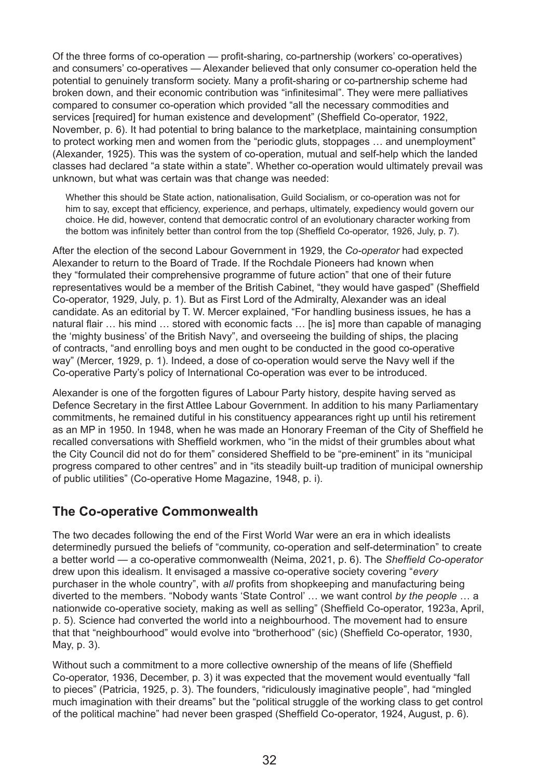Of the three forms of co-operation — profit-sharing, co-partnership (workers' co-operatives) and consumers' co-operatives — Alexander believed that only consumer co-operation held the potential to genuinely transform society. Many a profit-sharing or co-partnership scheme had broken down, and their economic contribution was "infinitesimal". They were mere palliatives compared to consumer co-operation which provided "all the necessary commodities and services [required] for human existence and development" (Sheffield Co-operator, 1922, November, p. 6). It had potential to bring balance to the marketplace, maintaining consumption to protect working men and women from the "periodic gluts, stoppages … and unemployment" (Alexander, 1925). This was the system of co-operation, mutual and self-help which the landed classes had declared "a state within a state". Whether co-operation would ultimately prevail was unknown, but what was certain was that change was needed:

Whether this should be State action, nationalisation, Guild Socialism, or co-operation was not for him to say, except that efficiency, experience, and perhaps, ultimately, expediency would govern our choice. He did, however, contend that democratic control of an evolutionary character working from the bottom was infinitely better than control from the top (Sheffield Co-operator, 1926, July, p. 7).

After the election of the second Labour Government in 1929, the *Co-operator* had expected Alexander to return to the Board of Trade. If the Rochdale Pioneers had known when they "formulated their comprehensive programme of future action" that one of their future representatives would be a member of the British Cabinet, "they would have gasped" (Sheffield Co-operator, 1929, July, p. 1). But as First Lord of the Admiralty, Alexander was an ideal candidate. As an editorial by T. W. Mercer explained, "For handling business issues, he has a natural flair … his mind … stored with economic facts … [he is] more than capable of managing the 'mighty business' of the British Navy", and overseeing the building of ships, the placing of contracts, "and enrolling boys and men ought to be conducted in the good co-operative way" (Mercer, 1929, p. 1). Indeed, a dose of co-operation would serve the Navy well if the Co-operative Party's policy of International Co-operation was ever to be introduced.

Alexander is one of the forgotten figures of Labour Party history, despite having served as Defence Secretary in the first Attlee Labour Government. In addition to his many Parliamentary commitments, he remained dutiful in his constituency appearances right up until his retirement as an MP in 1950. In 1948, when he was made an Honorary Freeman of the City of Sheffield he recalled conversations with Sheffield workmen, who "in the midst of their grumbles about what the City Council did not do for them" considered Sheffield to be "pre-eminent" in its "municipal progress compared to other centres" and in "its steadily built-up tradition of municipal ownership of public utilities" (Co-operative Home Magazine, 1948, p. i).

## **The Co-operative Commonwealth**

The two decades following the end of the First World War were an era in which idealists determinedly pursued the beliefs of "community, co-operation and self-determination" to create a better world — a co-operative commonwealth (Neima, 2021, p. 6). The *Sheffield Co‑operator* drew upon this idealism. It envisaged a massive co-operative society covering "*every* purchaser in the whole country", with *all* profits from shopkeeping and manufacturing being diverted to the members. "Nobody wants 'State Control' … we want control *by the people* … a nationwide co-operative society, making as well as selling" (Sheffield Co-operator, 1923a, April, p. 5). Science had converted the world into a neighbourhood. The movement had to ensure that that "neighbourhood" would evolve into "brotherhood" (sic) (Sheffield Co-operator, 1930, May, p. 3).

Without such a commitment to a more collective ownership of the means of life (Sheffield Co-operator, 1936, December, p. 3) it was expected that the movement would eventually "fall to pieces" (Patricia, 1925, p. 3). The founders, "ridiculously imaginative people", had "mingled much imagination with their dreams" but the "political struggle of the working class to get control of the political machine" had never been grasped (Sheffield Co-operator, 1924, August, p. 6).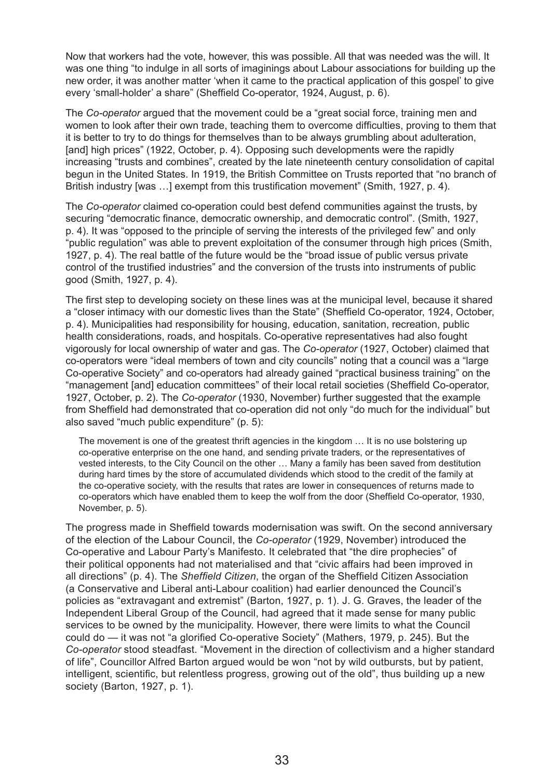Now that workers had the vote, however, this was possible. All that was needed was the will. It was one thing "to indulge in all sorts of imaginings about Labour associations for building up the new order, it was another matter 'when it came to the practical application of this gospel' to give every 'small-holder' a share" (Sheffield Co-operator, 1924, August, p. 6).

The *Co-operator* argued that the movement could be a "great social force, training men and women to look after their own trade, teaching them to overcome difficulties, proving to them that it is better to try to do things for themselves than to be always grumbling about adulteration, [and] high prices" (1922, October, p. 4). Opposing such developments were the rapidly increasing "trusts and combines", created by the late nineteenth century consolidation of capital begun in the United States. In 1919, the British Committee on Trusts reported that "no branch of British industry [was ...] exempt from this trustification movement" (Smith, 1927, p. 4).

The *Co-operator* claimed co-operation could best defend communities against the trusts, by securing "democratic finance, democratic ownership, and democratic control". (Smith, 1927, p. 4). It was "opposed to the principle of serving the interests of the privileged few" and only "public regulation" was able to prevent exploitation of the consumer through high prices (Smith, 1927, p. 4). The real battle of the future would be the "broad issue of public versus private control of the trustified industries" and the conversion of the trusts into instruments of public good (Smith, 1927, p. 4).

The first step to developing society on these lines was at the municipal level, because it shared a "closer intimacy with our domestic lives than the State" (Sheffield Co-operator, 1924, October, p. 4). Municipalities had responsibility for housing, education, sanitation, recreation, public health considerations, roads, and hospitals. Co-operative representatives had also fought vigorously for local ownership of water and gas. The *Co-operator* (1927, October) claimed that co-operators were "ideal members of town and city councils" noting that a council was a "large Co-operative Society" and co-operators had already gained "practical business training" on the "management [and] education committees" of their local retail societies (Sheffield Co-operator, 1927, October, p. 2). The *Co-operator* (1930, November) further suggested that the example from Sheffield had demonstrated that co-operation did not only "do much for the individual" but also saved "much public expenditure" (p. 5):

The movement is one of the greatest thrift agencies in the kingdom … It is no use bolstering up co-operative enterprise on the one hand, and sending private traders, or the representatives of vested interests, to the City Council on the other … Many a family has been saved from destitution during hard times by the store of accumulated dividends which stood to the credit of the family at the co-operative society, with the results that rates are lower in consequences of returns made to co-operators which have enabled them to keep the wolf from the door (Sheffield Co-operator, 1930, November, p. 5).

The progress made in Sheffield towards modernisation was swift. On the second anniversary of the election of the Labour Council, the *Co-operator* (1929, November) introduced the Co-operative and Labour Party's Manifesto. It celebrated that "the dire prophecies" of their political opponents had not materialised and that "civic affairs had been improved in all directions" (p. 4). The *Sheffield Citizen*, the organ of the Sheffield Citizen Association (a Conservative and Liberal anti-Labour coalition) had earlier denounced the Council's policies as "extravagant and extremist" (Barton, 1927, p. 1). J. G. Graves, the leader of the Independent Liberal Group of the Council, had agreed that it made sense for many public services to be owned by the municipality. However, there were limits to what the Council could do — it was not "a glorified Co-operative Society" (Mathers, 1979, p. 245). But the *Co-operator* stood steadfast. "Movement in the direction of collectivism and a higher standard of life", Councillor Alfred Barton argued would be won "not by wild outbursts, but by patient, intelligent, scientific, but relentless progress, growing out of the old", thus building up a new society (Barton, 1927, p. 1).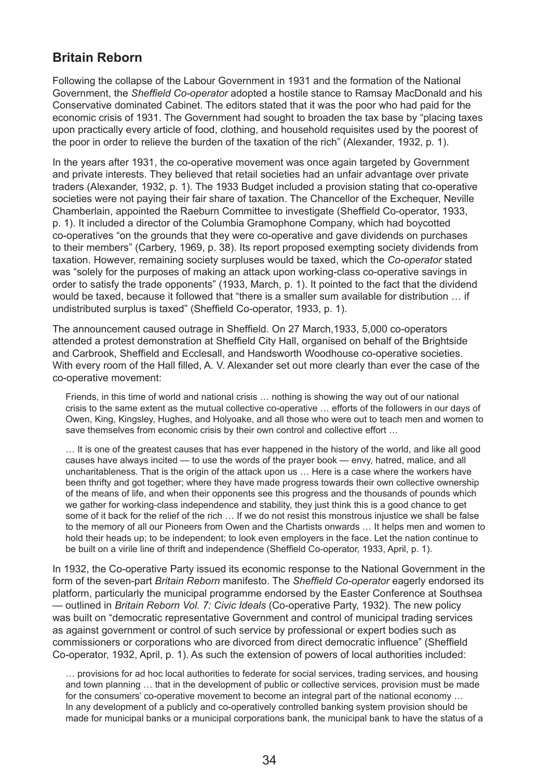#### **Britain Reborn**

Following the collapse of the Labour Government in 1931 and the formation of the National Government, the *Sheffield Co-operator* adopted a hostile stance to Ramsay MacDonald and his Conservative dominated Cabinet. The editors stated that it was the poor who had paid for the economic crisis of 1931. The Government had sought to broaden the tax base by "placing taxes upon practically every article of food, clothing, and household requisites used by the poorest of the poor in order to relieve the burden of the taxation of the rich" (Alexander, 1932, p. 1).

In the years after 1931, the co-operative movement was once again targeted by Government and private interests. They believed that retail societies had an unfair advantage over private traders (Alexander, 1932, p. 1). The 1933 Budget included a provision stating that co-operative societies were not paying their fair share of taxation. The Chancellor of the Exchequer, Neville Chamberlain, appointed the Raeburn Committee to investigate (Sheffield Co-operator, 1933, p. 1). It included a director of the Columbia Gramophone Company, which had boycotted co-operatives "on the grounds that they were co-operative and gave dividends on purchases to their members" (Carbery, 1969, p. 38). Its report proposed exempting society dividends from taxation. However, remaining society surpluses would be taxed, which the *Co-operator* stated was "solely for the purposes of making an attack upon working-class co-operative savings in order to satisfy the trade opponents" (1933, March, p. 1). It pointed to the fact that the dividend would be taxed, because it followed that "there is a smaller sum available for distribution … if undistributed surplus is taxed" (Sheffield Co-operator, 1933, p. 1).

The announcement caused outrage in Sheffield. On 27 March,1933, 5,000 co-operators attended a protest demonstration at Sheffield City Hall, organised on behalf of the Brightside and Carbrook, Sheffield and Ecclesall, and Handsworth Woodhouse co-operative societies. With every room of the Hall filled, A. V. Alexander set out more clearly than ever the case of the co-operative movement:

Friends, in this time of world and national crisis … nothing is showing the way out of our national crisis to the same extent as the mutual collective co-operative … efforts of the followers in our days of Owen, King, Kingsley, Hughes, and Holyoake, and all those who were out to teach men and women to save themselves from economic crisis by their own control and collective effort …

… It is one of the greatest causes that has ever happened in the history of the world, and like all good causes have always incited — to use the words of the prayer book — envy, hatred, malice, and all uncharitableness. That is the origin of the attack upon us … Here is a case where the workers have been thrifty and got together; where they have made progress towards their own collective ownership of the means of life, and when their opponents see this progress and the thousands of pounds which we gather for working-class independence and stability, they just think this is a good chance to get some of it back for the relief of the rich … If we do not resist this monstrous injustice we shall be false to the memory of all our Pioneers from Owen and the Chartists onwards … It helps men and women to hold their heads up; to be independent; to look even employers in the face. Let the nation continue to be built on a virile line of thrift and independence (Sheffield Co-operator, 1933, April, p. 1).

In 1932, the Co-operative Party issued its economic response to the National Government in the form of the seven-part *Britain Reborn* manifesto. The *Sheffield Co-operator* eagerly endorsed its platform, particularly the municipal programme endorsed by the Easter Conference at Southsea — outlined in *Britain Reborn Vol. 7: Civic Ideals* (Co-operative Party, 1932). The new policy was built on "democratic representative Government and control of municipal trading services as against government or control of such service by professional or expert bodies such as commissioners or corporations who are divorced from direct democratic influence" (Sheffield Co-operator, 1932, April, p. 1). As such the extension of powers of local authorities included:

… provisions for ad hoc local authorities to federate for social services, trading services, and housing and town planning … that in the development of public or collective services, provision must be made for the consumers' co-operative movement to become an integral part of the national economy ... In any development of a publicly and co-operatively controlled banking system provision should be made for municipal banks or a municipal corporations bank, the municipal bank to have the status of a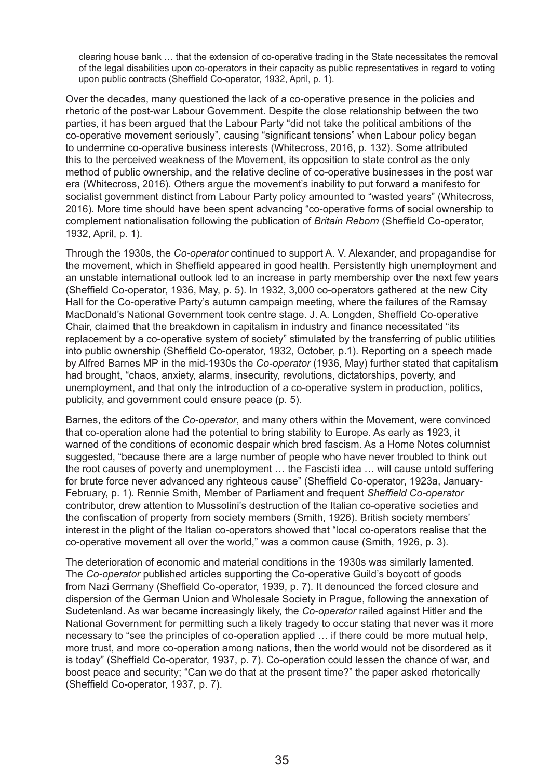clearing house bank … that the extension of co-operative trading in the State necessitates the removal of the legal disabilities upon co-operators in their capacity as public representatives in regard to voting upon public contracts (Sheffield Co-operator, 1932, April, p. 1).

Over the decades, many questioned the lack of a co-operative presence in the policies and rhetoric of the post-war Labour Government. Despite the close relationship between the two parties, it has been argued that the Labour Party "did not take the political ambitions of the co-operative movement seriously", causing "significant tensions" when Labour policy began to undermine co-operative business interests (Whitecross, 2016, p. 132). Some attributed this to the perceived weakness of the Movement, its opposition to state control as the only method of public ownership, and the relative decline of co-operative businesses in the post war era (Whitecross, 2016). Others argue the movement's inability to put forward a manifesto for socialist government distinct from Labour Party policy amounted to "wasted years" (Whitecross, 2016). More time should have been spent advancing "co-operative forms of social ownership to complement nationalisation following the publication of *Britain Reborn* (Sheffield Co-operator, 1932, April, p. 1).

Through the 1930s, the *Co-operator* continued to support A. V. Alexander, and propagandise for the movement, which in Sheffield appeared in good health. Persistently high unemployment and an unstable international outlook led to an increase in party membership over the next few years (Sheffield Co-operator, 1936, May, p. 5). In 1932, 3,000 co-operators gathered at the new City Hall for the Co-operative Party's autumn campaign meeting, where the failures of the Ramsay MacDonald's National Government took centre stage. J. A. Longden, Sheffield Co-operative Chair, claimed that the breakdown in capitalism in industry and finance necessitated "its replacement by a co-operative system of society" stimulated by the transferring of public utilities into public ownership (Sheffield Co-operator, 1932, October, p.1). Reporting on a speech made by Alfred Barnes MP in the mid-1930s the *Co-operator* (1936, May) further stated that capitalism had brought, "chaos, anxiety, alarms, insecurity, revolutions, dictatorships, poverty, and unemployment, and that only the introduction of a co-operative system in production, politics, publicity, and government could ensure peace (p. 5).

Barnes, the editors of the *Co-operator*, and many others within the Movement, were convinced that co-operation alone had the potential to bring stability to Europe. As early as 1923, it warned of the conditions of economic despair which bred fascism. As a Home Notes columnist suggested, "because there are a large number of people who have never troubled to think out the root causes of poverty and unemployment … the Fascisti idea … will cause untold suffering for brute force never advanced any righteous cause" (Sheffield Co-operator, 1923a, January-February, p. 1). Rennie Smith, Member of Parliament and frequent *Sheffield Co-operator*  contributor, drew attention to Mussolini's destruction of the Italian co-operative societies and the confiscation of property from society members (Smith, 1926). British society members' interest in the plight of the Italian co-operators showed that "local co-operators realise that the co-operative movement all over the world," was a common cause (Smith, 1926, p. 3).

The deterioration of economic and material conditions in the 1930s was similarly lamented. The *Co-operator* published articles supporting the Co-operative Guild's boycott of goods from Nazi Germany (Sheffield Co-operator, 1939, p. 7). It denounced the forced closure and dispersion of the German Union and Wholesale Society in Prague, following the annexation of Sudetenland. As war became increasingly likely, the *Co-operator* railed against Hitler and the National Government for permitting such a likely tragedy to occur stating that never was it more necessary to "see the principles of co-operation applied … if there could be more mutual help, more trust, and more co-operation among nations, then the world would not be disordered as it is today" (Sheffield Co-operator, 1937, p. 7). Co-operation could lessen the chance of war, and boost peace and security; "Can we do that at the present time?" the paper asked rhetorically (Sheffield Co-operator, 1937, p. 7).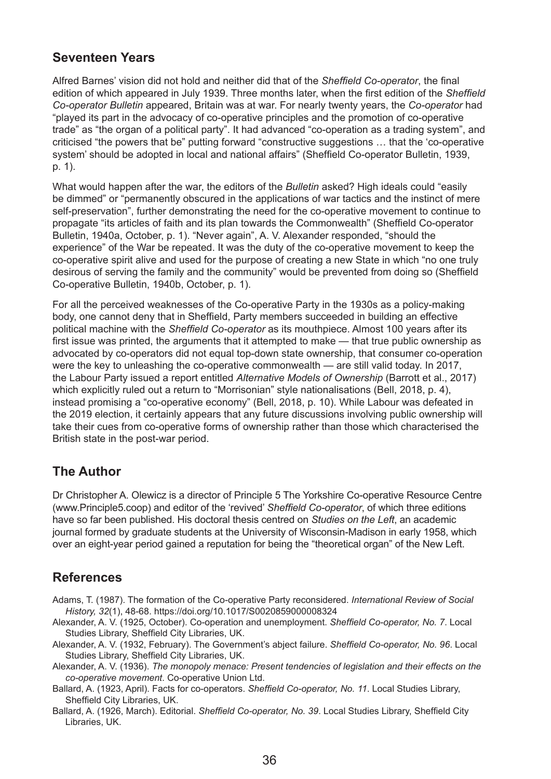## **Seventeen Years**

Alfred Barnes' vision did not hold and neither did that of the *Sheffield Co-operator*, the final edition of which appeared in July 1939. Three months later, when the first edition of the *Sheffield Co-operator Bulletin* appeared, Britain was at war. For nearly twenty years, the *Co-operator* had "played its part in the advocacy of co-operative principles and the promotion of co-operative trade" as "the organ of a political party". It had advanced "co-operation as a trading system", and criticised "the powers that be" putting forward "constructive suggestions … that the 'co-operative system' should be adopted in local and national affairs" (Sheffield Co-operator Bulletin, 1939, p. 1).

What would happen after the war, the editors of the *Bulletin* asked? High ideals could "easily be dimmed" or "permanently obscured in the applications of war tactics and the instinct of mere self-preservation", further demonstrating the need for the co-operative movement to continue to propagate "its articles of faith and its plan towards the Commonwealth" (Sheffield Co‑operator Bulletin, 1940a, October, p. 1). "Never again", A. V. Alexander responded, "should the experience" of the War be repeated. It was the duty of the co-operative movement to keep the co-operative spirit alive and used for the purpose of creating a new State in which "no one truly desirous of serving the family and the community" would be prevented from doing so (Sheffield Co-operative Bulletin, 1940b, October, p. 1).

For all the perceived weaknesses of the Co-operative Party in the 1930s as a policy-making body, one cannot deny that in Sheffield, Party members succeeded in building an effective political machine with the *Sheffield Co-operator* as its mouthpiece. Almost 100 years after its first issue was printed, the arguments that it attempted to make — that true public ownership as advocated by co-operators did not equal top-down state ownership, that consumer co-operation were the key to unleashing the co-operative commonwealth — are still valid today. In 2017, the Labour Party issued a report entitled *Alternative Models of Ownership* (Barrott et al., 2017) which explicitly ruled out a return to "Morrisonian" style nationalisations (Bell, 2018, p. 4), instead promising a "co-operative economy" (Bell, 2018, p. 10). While Labour was defeated in the 2019 election, it certainly appears that any future discussions involving public ownership will take their cues from co-operative forms of ownership rather than those which characterised the British state in the post-war period.

## **The Author**

Dr Christopher A. Olewicz is a director of Principle 5 The Yorkshire Co-operative Resource Centre (www.Principle5.coop) and editor of the 'revived' *Sheffield Co-operator*, of which three editions have so far been published. His doctoral thesis centred on *Studies on the Left*, an academic journal formed by graduate students at the University of Wisconsin-Madison in early 1958, which over an eight-year period gained a reputation for being the "theoretical organ" of the New Left.

# **References**

- Adams, T. (1987). The formation of the Co-operative Party reconsidered. *International Review of Social History, 32*(1), 48-68. https://doi.org/10.1017/S0020859000008324
- Alexander, A. V. (1925, October). Co-operation and unemployment. *Sheffield Co-operator, No. 7*. Local Studies Library, Sheffield City Libraries, UK.
- Alexander, A. V. (1932, February). The Government's abject failure. *Sheffield Co-operator, No. 96*. Local Studies Library, Sheffield City Libraries, UK.
- Alexander, A. V. (1936). *The monopoly menace: Present tendencies of legislation and their effects on the co-operative movement*. Co-operative Union Ltd.
- Ballard, A. (1923, April). Facts for co-operators. *Sheffield Co-operator, No. 11*. Local Studies Library, Sheffield City Libraries, UK.
- Ballard, A. (1926, March). Editorial. *Sheffield Co-operator, No. 39*. Local Studies Library, Sheffield City Libraries, UK.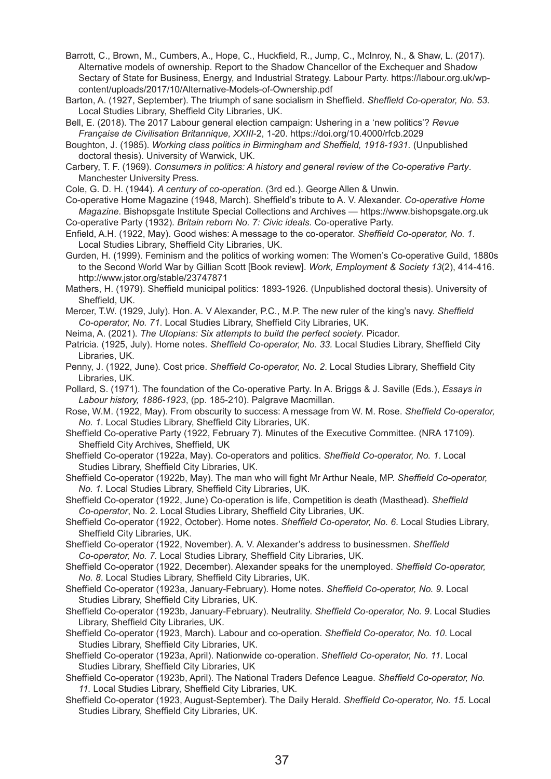Barrott, C., Brown, M., Cumbers, A., Hope, C., Huckfield, R., Jump, C., McInroy, N., & Shaw, L. (2017). Alternative models of ownership. Report to the Shadow Chancellor of the Exchequer and Shadow Sectary of State for Business, Energy, and Industrial Strategy. Labour Party. https://labour.org.uk/wpcontent/uploads/2017/10/Alternative-Models-of-Ownership.pdf

Barton, A. (1927, September). The triumph of sane socialism in Sheffield. *Sheffield Co-operator, No. 53*. Local Studies Library, Sheffield City Libraries, UK.

Bell, E. (2018). The 2017 Labour general election campaign: Ushering in a 'new politics'? *Revue Française de Civilisation Britannique, XXIII*-2, 1-20. https://doi.org/10.4000/rfcb.2029

Boughton, J. (1985). *Working class politics in Birmingham and Sheffield, 1918-1931.* (Unpublished doctoral thesis). University of Warwick, UK.

Carbery, T. F. (1969). *Consumers in politics: A history and general review of the Co-operative Party*. Manchester University Press.

Cole, G. D. H. (1944). *A century of co-operation*. (3rd ed.). George Allen & Unwin.

Co-operative Home Magazine (1948, March). Sheffield's tribute to A. V. Alexander. *Co-operative Home Magazine*. Bishopsgate Institute Special Collections and Archives — https://www.bishopsgate.org.uk Co-operative Party (1932). *Britain reborn No. 7: Civic ideals.* Co-operative Party.

Enfield, A.H. (1922, May). Good wishes: A message to the co-operator. *Sheffield Co-operator, No. 1*. Local Studies Library, Sheffield City Libraries, UK.

Gurden, H. (1999). Feminism and the politics of working women: The Women's Co-operative Guild, 1880s to the Second World War by Gillian Scott [Book review]. *Work, Employment & Society 13*(2), 414-416. http://www.jstor.org/stable/23747871

Mathers, H. (1979). Sheffield municipal politics: 1893-1926. (Unpublished doctoral thesis). University of Sheffield, UK.

Mercer, T.W. (1929, July). Hon. A. V Alexander, P.C., M.P. The new ruler of the king's navy. *Sheffield Co‑operator, No. 71*. Local Studies Library, Sheffield City Libraries, UK.

Neima, A. (2021). *The Utopians: Six attempts to build the perfect society*. Picador.

Patricia. (1925, July). Home notes. *Sheffield Co-operator, No. 33.* Local Studies Library, Sheffield City Libraries, UK.

Penny, J. (1922, June). Cost price. *Sheffield Co-operator, No. 2*. Local Studies Library, Sheffield City Libraries, UK.

Pollard, S. (1971). The foundation of the Co-operative Party. In A. Briggs & J. Saville (Eds.), *Essays in Labour history, 1886-1923*, (pp. 185-210). Palgrave Macmillan.

- Rose, W.M. (1922, May). From obscurity to success: A message from W. M. Rose. *Sheffield Co-operator, No. 1*. Local Studies Library, Sheffield City Libraries, UK.
- Sheffield Co-operative Party (1922, February 7). Minutes of the Executive Committee. (NRA 17109). Sheffield City Archives, Sheffield, UK

Sheffield Co-operator (1922a, May). Co-operators and politics. *Sheffield Co-operator, No. 1*. Local Studies Library, Sheffield City Libraries, UK.

Sheffield Co-operator (1922b, May). The man who will fight Mr Arthur Neale, MP. *Sheffield Co-operator, No. 1.* Local Studies Library, Sheffield City Libraries, UK.

Sheffield Co-operator (1922, June) Co-operation is life, Competition is death (Masthead). *Sheffield Co-operator*, No. 2. Local Studies Library, Sheffield City Libraries, UK.

Sheffield Co-operator (1922, October). Home notes. *Sheffield Co-operator, No. 6*. Local Studies Library, Sheffield City Libraries, UK.

Sheffield Co-operator (1922, November). A. V. Alexander's address to businessmen. *Sheffield Co‑operator, No. 7.* Local Studies Library, Sheffield City Libraries, UK.

Sheffield Co-operator (1922, December). Alexander speaks for the unemployed. *Sheffield Co-operator, No. 8*. Local Studies Library, Sheffield City Libraries, UK.

Sheffield Co-operator (1923a, January-February). Home notes. *Sheffield Co-operator, No. 9*. Local Studies Library, Sheffield City Libraries, UK.

Sheffield Co-operator (1923b, January-February). Neutrality. *Sheffield Co-operator, No. 9*. Local Studies Library, Sheffield City Libraries, UK.

Sheffield Co-operator (1923, March). Labour and co-operation. *Sheffield Co-operator, No. 10*. Local Studies Library, Sheffield City Libraries, UK.

Sheffield Co-operator (1923a, April). Nationwide co-operation. *Sheffield Co-operator, No. 11*. Local Studies Library, Sheffield City Libraries, UK

Sheffield Co-operator (1923b, April). The National Traders Defence League. *Sheffield Co-operator, No. 11.* Local Studies Library, Sheffield City Libraries, UK.

Sheffield Co-operator (1923, August-September). The Daily Herald. *Sheffield Co-operator, No. 15*. Local Studies Library, Sheffield City Libraries, UK.